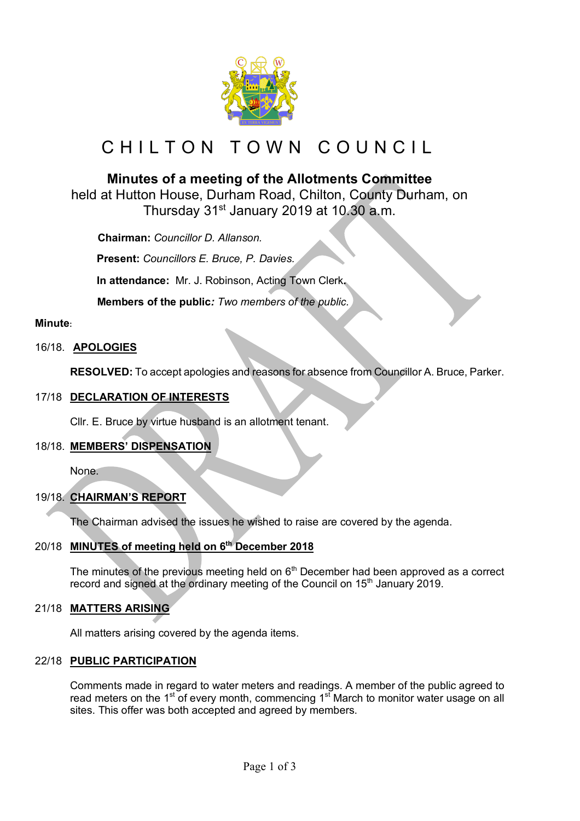

# CHILTON TOWN COUNCIL

# **Minutes of a meeting of the Allotments Committee**

held at Hutton House, Durham Road, Chilton, County Durham, on Thursday 31st January 2019 at 10.30 a.m.

 **Chairman:** *Councillor D. Allanson.*

**Present:** *Councillors E. Bruce, P. Davies.*

**In attendance:** Mr. J. Robinson, Acting Town Clerk**.**

 **Members of the public***: Two members of the public.*

#### **Minute:**

#### 16/18. **APOLOGIES**

**RESOLVED:** To accept apologies and reasons for absence from Councillor A. Bruce, Parker.

#### 17/18 **DECLARATION OF INTERESTS**

Cllr. E. Bruce by virtue husband is an allotment tenant.

#### 18/18. **MEMBERS' DISPENSATION**

None.

## 19/18. **CHAIRMAN'S REPORT**

The Chairman advised the issues he wished to raise are covered by the agenda.

## 20/18 **MINUTES of meeting held on 6th December 2018**

The minutes of the previous meeting held on  $6<sup>th</sup>$  December had been approved as a correct record and signed at the ordinary meeting of the Council on 15<sup>th</sup> January 2019.

#### 21/18 **MATTERS ARISING**

All matters arising covered by the agenda items.

#### 22/18 **PUBLIC PARTICIPATION**

Comments made in regard to water meters and readings. A member of the public agreed to read meters on the  $1<sup>st</sup>$  of every month, commencing  $1<sup>st</sup>$  March to monitor water usage on all sites. This offer was both accepted and agreed by members.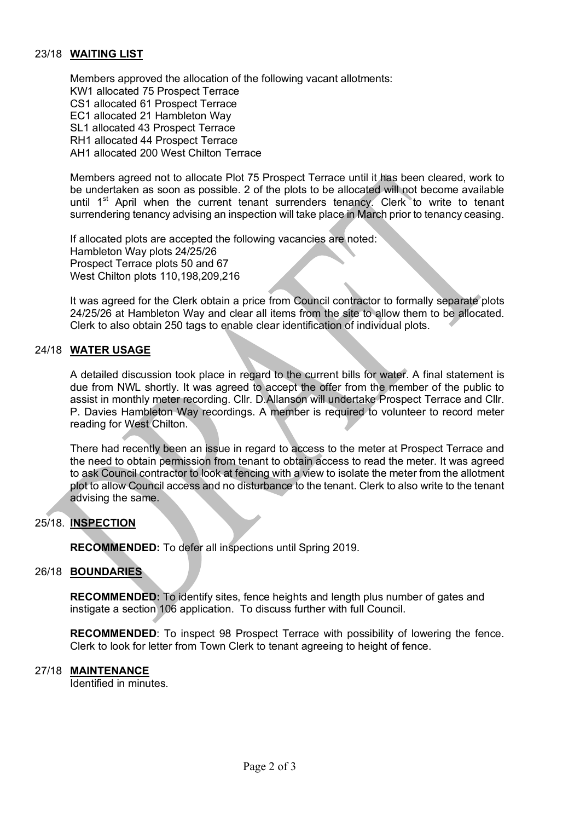#### 23/18 **WAITING LIST**

Members approved the allocation of the following vacant allotments: KW1 allocated 75 Prospect Terrace CS1 allocated 61 Prospect Terrace EC1 allocated 21 Hambleton Way SL1 allocated 43 Prospect Terrace RH1 allocated 44 Prospect Terrace AH1 allocated 200 West Chilton Terrace

Members agreed not to allocate Plot 75 Prospect Terrace until it has been cleared, work to be undertaken as soon as possible. 2 of the plots to be allocated will not become available until 1<sup>st</sup> April when the current tenant surrenders tenancy. Clerk to write to tenant surrendering tenancy advising an inspection will take place in March prior to tenancy ceasing.

If allocated plots are accepted the following vacancies are noted: Hambleton Way plots 24/25/26 Prospect Terrace plots 50 and 67 West Chilton plots 110,198,209,216

It was agreed for the Clerk obtain a price from Council contractor to formally separate plots 24/25/26 at Hambleton Way and clear all items from the site to allow them to be allocated. Clerk to also obtain 250 tags to enable clear identification of individual plots.

#### 24/18 **WATER USAGE**

A detailed discussion took place in regard to the current bills for water. A final statement is due from NWL shortly. It was agreed to accept the offer from the member of the public to assist in monthly meter recording. Cllr. D.Allanson will undertake Prospect Terrace and Cllr. P. Davies Hambleton Way recordings. A member is required to volunteer to record meter reading for West Chilton.

There had recently been an issue in regard to access to the meter at Prospect Terrace and the need to obtain permission from tenant to obtain access to read the meter. It was agreed to ask Council contractor to look at fencing with a view to isolate the meter from the allotment plot to allow Council access and no disturbance to the tenant. Clerk to also write to the tenant advising the same.

#### 25/18. **INSPECTION**

**RECOMMENDED:** To defer all inspections until Spring 2019.

#### 26/18 **BOUNDARIES**

**RECOMMENDED:** To identify sites, fence heights and length plus number of gates and instigate a section 106 application. To discuss further with full Council.

**RECOMMENDED**: To inspect 98 Prospect Terrace with possibility of lowering the fence. Clerk to look for letter from Town Clerk to tenant agreeing to height of fence.

#### 27/18 **MAINTENANCE**

Identified in minutes.